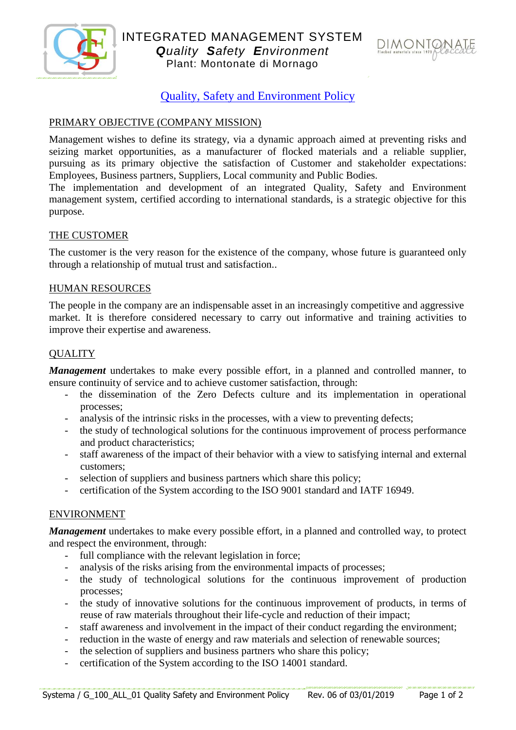



# Quality, Safety and Environment Policy

## PRIMARY OBJECTIVE (COMPANY MISSION)

Management wishes to define its strategy, via a dynamic approach aimed at preventing risks and seizing market opportunities, as a manufacturer of flocked materials and a reliable supplier, pursuing as its primary objective the satisfaction of Customer and stakeholder expectations: Employees, Business partners, Suppliers, Local community and Public Bodies.

The implementation and development of an integrated Quality, Safety and Environment management system, certified according to international standards, is a strategic objective for this purpose.

### THE CUSTOMER

The customer is the very reason for the existence of the company, whose future is guaranteed only through a relationship of mutual trust and satisfaction..

### HUMAN RESOURCES

The people in the company are an indispensable asset in an increasingly competitive and aggressive market. It is therefore considered necessary to carry out informative and training activities to improve their expertise and awareness.

### **OUALITY**

*Management* undertakes to make every possible effort, in a planned and controlled manner, to ensure continuity of service and to achieve customer satisfaction, through:

- the dissemination of the Zero Defects culture and its implementation in operational processes;
- analysis of the intrinsic risks in the processes, with a view to preventing defects;
- the study of technological solutions for the continuous improvement of process performance and product characteristics;
- staff awareness of the impact of their behavior with a view to satisfying internal and external customers;
- selection of suppliers and business partners which share this policy;
- certification of the System according to the ISO 9001 standard and IATF 16949.

### ENVIRONMENT

*Management* undertakes to make every possible effort, in a planned and controlled way, to protect and respect the environment, through:

- full compliance with the relevant legislation in force;
- analysis of the risks arising from the environmental impacts of processes;
- the study of technological solutions for the continuous improvement of production processes;
- the study of innovative solutions for the continuous improvement of products, in terms of reuse of raw materials throughout their life-cycle and reduction of their impact;
- staff awareness and involvement in the impact of their conduct regarding the environment;
- reduction in the waste of energy and raw materials and selection of renewable sources;
- the selection of suppliers and business partners who share this policy;
- certification of the System according to the ISO 14001 standard.